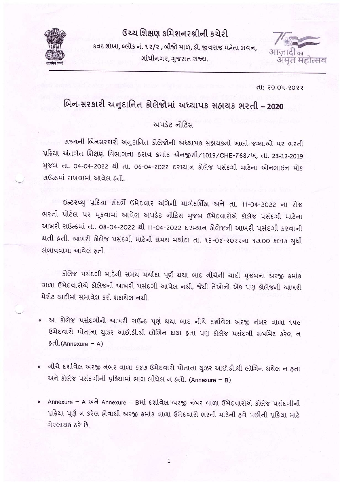

# ઉચ્ચ શિક્ષણ કમિશનરશ્રીની કચેરી

કવટ શાખા, બ્લોક નં. ૧૨/૨ , બીજો માળ, ડૉ. જીવરાજ મહેતા ભવન, ગાંધીનગર, ગુજરાત રાજ્ય.



dl: 20-04-2022

# બિન-સરકારી અનુદાનિત કોલેજોમાં અધ્યાપક સહ્નાયક ભરતી -2020

## અપડેટ નોટિસ

રાજ્યની બિનસરકારી અનુદાનિત કોલેજોની અધ્યાપક સહ્યયકની ખાલી જગ્યાઓ પર ભરતી પ્રક્રિયા અંતર્ગત શિક્ષણ વિભાગના ઠરાવ ક્રમાંક એનજીસી/1019/CHE-768/ખ, તા. 23-12-2019 મુજબ તા. 04-04-2022 થી તા. 06-04-2022 દરમ્યાન કોલેજ પસંદગી માટેના ઓનલાઇન મોક રાઉન્ડમાં રાખવામાં આવેલ કતો

ઇન્ટરવ્યુ પ્રક્રિયા સંદર્ભે ઉમેદવાર અંગેની માર્ગદર્શિકા અને તા. 11-04-2022 ના રોજ ભરતી પોર્ટલ પર મૂકવામાં આવેલ અપડેટ નોટિસ મુજબ ઉમેદવારોએ કોલેજ પસંદગી માટેના આખરી રાઉન્ડમાં તા. 08-04-2022 થી 11-04-2022 દરમ્યાન કોલેજની આખરી પસંદગી કરવાની થતી હતી. આખરી કોલેજ પસંદગી માટેની સમય મર્યાદા તા. ૧૩-૦૪-૨૦૨૨ના ૧૭.૦૦ કલાક સુધી લંબાવવામા આવેલ કતી.

કોલેજ પસંદગી માટેની સમય મર્યાદા પૂર્ણ થયા બાદ નીચેની યાદી મુજબના અરજી ક્રમાંક વાળા ઉમેદવારોએ કોલેજની આખરી પસંદગી આપેલ નથી, જેથી તેઓનો એક પણ કોલેજની આખરી મેરીટ ચાદીમાં સમાવેશ કરી શકારોલ નશી

- આ કોલેજ પસંદગીનો આખરી રાઉન્ડ પૂર્ણ થયા બાદ નીચે દર્શાવેલ અરજી નંબર વાળા ૧૫૯ ઉમેદવારો પોતાના યુઝર આઈ.ડી.થી લૉગિન થયા હતા પણ કોલેજ પસંદગી સબમિટ કરેલ ન  $\delta$ dl. (Annexure – A)
- નીચે દર્શાવેલ અરજી નંબર વાળા ૬૪૭ ઉમેદવારો પોતાના યુઝર આઈ.ડી.થી લૉગિન થયેલ ન હતા wa કોલેજ પસંદગીની પ્રક્રિયામાં ભાગ લીધેલ ન હતો. (Annexure - B)
- Annexure A અને Annexure Bમાં દર્શાવેલ અરજી નંબર વાળા ઉમેદવારોએ કોલેજ પસંદગીની પ્રક્રિયા પૂર્ણ ન કરેલ હોવાથી અરજી ક્રમાંક વાળા ઉમેદવારો ભરતી માટેની હવે પછીની પ્રક્રિયા માટે ગેરલાયક ઠરે છે.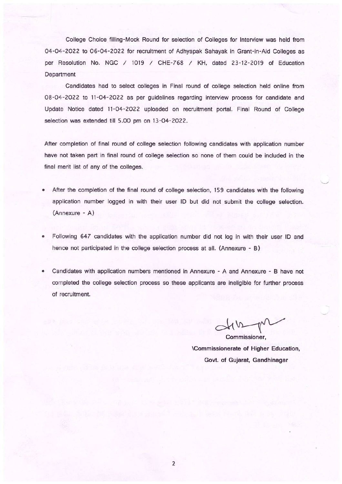College Choice filling-Mock Round for selection of Colleges for Interview was held from 04-04-2022 to 06-04-2022 for recruitment of Adhyapak Sahayak in Grant-in-Aid Colleges as per Resolution No. NGC / 1019 / CHE-768 / KH, dated 23-12-2019 of Education Department

Candidates had to select colleges in Final round of college selection held online from 08-04-2022 to 11-04-2022 as per guidelines regarding interview process for candidate and Update Notice dated 11-04-2022 uploaded on recruitment portal. Final Round of College selection was extended till 5.00 pm on 13-04-2022.

After completion of final round of college selection following candidates with application number have not taken part in final round of college selection so none of them could be included in the final merit list of any of the colleges.

- After the completion of the final round of college selection, 159 candidates with the following application number logged in with their user ID but did not submit the college selection. (Annexure - A)
- Following 647 candidates with the application number did not log in with their user ID and  $\bullet$ hence not participated in the college selection process at all. (Annexure - B)
- Candidates with application numbers mentioned in Annexure A and Annexure B have not completed the college selection process so these applicants are ineligible for further process of recruitment.

Commissioner, \Commissionerate of Higher Education, Govt. of Gujarat, Gandhinagar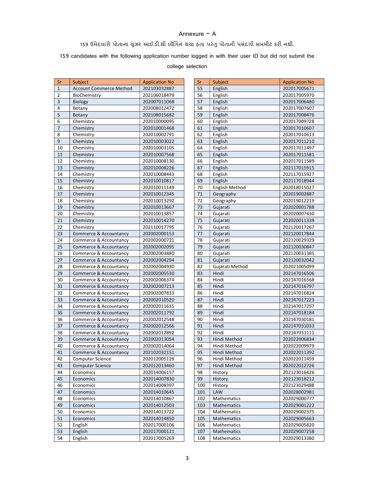## Annexure – A

## 159 ઉમેદવારો પોતાના યુઝર આઈ.ડી.થી લૉગિન થયા હતા પરંતુ પોતાની પસંદગી સબમીટ કરી નથી.

159 candidates with the following application number logged in with their user ID but did not submit the

#### college selection

| Sr             | Subject                        | <b>Application No</b> | Sr  | Subject            | <b>Application No</b> |
|----------------|--------------------------------|-----------------------|-----|--------------------|-----------------------|
| $\mathbf{1}$   | <b>Account Commerce Method</b> | 202103032887          | 55  | English            | 202017005671          |
| $\overline{2}$ | BioChemistry                   | 202106018479          | 56  | English            | 202017005970          |
| $\overline{3}$ | Biology                        | 202007011068          | 57  | English            | 202017006480          |
| 4              | Botany                         | 202008012472          | 58  | English            | 202017007607          |
| 5              | Botany                         | 202108015682          | 59  | English            | 202017008476          |
| 6              | Chemistry                      | 202010000095          | 60  | English            | 202017009728          |
| $\overline{7}$ | Chemistry                      | 202010001468          | 61  | English            | 202017010607          |
| 8              | Chemistry                      | 202010002791          | 62  | English            | 202017010613          |
| $\overline{9}$ | Chemistry                      | 202010003022          | 63  | English            | 202017011210          |
| 10             | Chemistry                      | 202010003105          | 64  | English            | 202017011497          |
| 11             | Chemistry                      | 202010007568          | 65  | English            | 202017011581          |
| 12             | Chemistry                      | 202010008130          | 66  | English            | 202017011589          |
| 13             | Chemistry                      | 202010008226          | 67  | English            | 202117015915          |
| 14             | Chemistry                      | 202010008443          | 68  | English            | 202117015927          |
| 15             | Chemistry                      | 202010010817          | 69  | English            | 202117018944          |
| 16             | Chemistry                      | 202010011149          | 70  | English Method     | 202018015027          |
| 17             | Chemistry                      | 202010012345          | 71  | Geography          | 202019002887          |
| 18             | Chemistry                      | 202010013292          | 72  | Geography          | 202019012219          |
| 19             | Chemistry                      | 202010013667          | 73  | Gujarati           | 202020001788          |
| 20             | Chemistry                      | 202010013857          | 74  | Gujarati           | 202020007430          |
| 21             | Chemistry                      | 202010014270          | 75  | Gujarati           | 202020011339          |
| 22             | Chemistry                      | 202110017795          | 76  | Gujarati           | 202120017267          |
| 23             | Commerce & Accountancy         | 202002000153          | 77  | Gujarati           | 202120017844          |
| 24             | Commerce & Accountancy         | 202002000721          | 78  | Gujarati           | 202120029329          |
| 25             | Commerce & Accountancy         | 202002002095          | 79  | Gujarati           | 202120030847          |
| 26             | Commerce & Accountancy         | 202002003880          | 80  | Gujarati           | 202120031385          |
| 27             | Commerce & Accountancy         | 202002004294          | 81  | Gujarati           | 202120032042          |
| 28             | Commerce & Accountancy         | 202002004930          | 82  | Gujarati Method    | 202021005099          |
| 29             | Commerce & Accountancy         | 202002005530          | 83  | Hindi              | 202147016506          |
| 30             | Commerce & Accountancy         | 202002006374          | 84  | Hindi              | 202147016568          |
| 31             | Commerce & Accountancy         | 202002007213          | 85  | Hindi              | 202147016797          |
| 32             | Commerce & Accountancy         | 202002007833          | 86  | Hindi              | 202147016824          |
| 33             | Commerce & Accountancy         | 202002010520          | 87  | Hindi              | 202147017223          |
| 34             | Commerce & Accountancy         | 202002011635          | 88  | Hindi              | 202147017257          |
| 35             | Commerce & Accountancy         | 202002011792          | 89  | Hindi              | 202147018184          |
| 36             | Commerce & Accountancy         | 202002012548          | 90  | Hindi              | 202147030181          |
| 37             | Commerce & Accountancy         | 202002012566          | 91  | Hindi              | 202147031033          |
| 38             | Commerce & Accountancy         | 202002012892          | 92  | Hindi              | 202147031111          |
| 39             | Commerce & Accountancy         | 202002013054          | 93  | Hindi Method       | 202022006834          |
| 40             | Commerce & Accountancy         | 202002014064          | 94  | Hindi Method       | 202022009979          |
| 41             | Commerce & Accountancy         | 202102032151          | 95  | Hindi Method       | 202022011392          |
| 42             | Computer Science               | 202012005129          | 96  | Hindi Method       | 202022011459          |
| 43             | <b>Computer Science</b>        | 202012013460          | 97  | Hindi Method       | 202022012726          |
| 44             | Economics                      | 202014006157          | 98  | History            | 202123016426          |
| 45             | Economics                      | 202014007830          | 99  | History            | 202123018212          |
| 46             | Economics                      | 202014008397          | 100 | History            | 202123029488          |
| 47             | Economics                      | 202014010645          | 101 | LAW                | 202028002981          |
| 48             | Economics                      | 202014010867          | 102 | Mathematics        | 202029000777          |
| 49             | Economics                      | 202014012503          | 103 | <b>Mathematics</b> | 202029001222          |
| 50             | Economics                      | 202014013722          | 104 | Mathematics        | 202029002375          |
| 51             | Economics                      | 202014014850          | 105 | Mathematics        | 202029005663          |
| 52             | English                        | 202017000106          | 106 | Mathematics        | 202029005820          |
| 53             | English                        | 202017000121          | 107 | Mathematics        | 202029007258          |
| 54             | English                        | 202017005269          | 108 | Mathematics        | 202029013380          |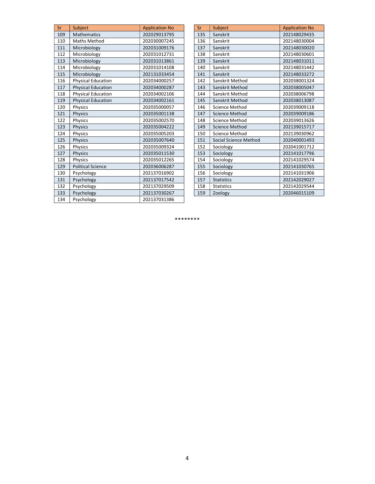| Sr  | Subject                   | <b>Application No</b> |
|-----|---------------------------|-----------------------|
| 109 | <b>Mathematics</b>        | 202029013795          |
| 110 | <b>Maths Method</b>       | 202030007245          |
| 111 | Microbiology              | 202031009176          |
| 112 | Microbiology              | 202031012731          |
| 113 | Microbiology              | 202031013861          |
| 114 | Microbiology              | 202031014108          |
| 115 | Microbiology              | 202131033454          |
| 116 | <b>Physical Education</b> | 202034000257          |
| 117 | <b>Physical Education</b> | 202034000287          |
| 118 | <b>Physical Education</b> | 202034002106          |
| 119 | <b>Physical Education</b> | 202034002161          |
| 120 | Physics                   | 202035000057          |
| 121 | <b>Physics</b>            | 202035001138          |
| 122 | Physics                   | 202035002570          |
| 123 | Physics                   | 202035004222          |
| 124 | Physics                   | 202035005203          |
| 125 | Physics                   | 202035007640          |
| 126 | Physics                   | 202035009324          |
| 127 | <b>Physics</b>            | 202035011530          |
| 128 | Physics                   | 202035012265          |
| 129 | <b>Political Science</b>  | 202036006287          |
| 130 | Psychology                | 202137016902          |
| 131 | Psychology                | 202137017542          |
| 132 | Psychology                | 202137029509          |
| 133 | Psychology                | 202137030267          |
| 134 | Psychology                | 202137031386          |

| Sr  | Subject               | <b>Application No</b> |
|-----|-----------------------|-----------------------|
| 135 | Sanskrit              | 202148029435          |
| 136 | Sanskrit              | 202148030004          |
| 137 | Sanskrit              | 202148030020          |
| 138 | Sanskrit              | 202148030601          |
| 139 | Sanskrit              | 202148031011          |
| 140 | Sanskrit              | 202148031442          |
| 141 | Sanskrit              | 202148033272          |
| 142 | Sanskrit Method       | 202038001324          |
| 143 | Sanskrit Method       | 202038005047          |
| 144 | Sanskrit Method       | 202038006798          |
| 145 | Sanskrit Method       | 202038013087          |
| 146 | <b>Science Method</b> | 202039009118          |
| 147 | Science Method        | 202039009186          |
| 148 | Science Method        | 202039013626          |
| 149 | <b>Science Method</b> | 202139015717          |
| 150 | Science Method        | 202139030962          |
| 151 | Social Science Method | 202040001493          |
| 152 | Sociology             | 202041001712          |
| 153 | Sociology             | 202141017796          |
| 154 | Sociology             | 202141029574          |
| 155 | Sociology             | 202141030765          |
| 156 | Sociology             | 202141031906          |
| 157 | <b>Statistics</b>     | 202142029027          |
| 158 | <b>Statistics</b>     | 202142029544          |
| 159 | Zoology               | 202046015109          |

\*\*\*\*\*\*\*\*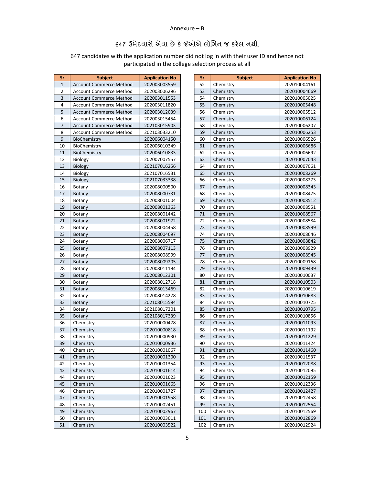#### Annexure – B

## 647 ઉમેદવારો એવા છે ક°Ȑઓએ લૉગન જ કર°લ નથી.

647 candidates with the application number did not log in with their user ID and hence not participated in the college selection process at all

| Sr             | <b>Subject</b>                 | <b>Application No</b> |
|----------------|--------------------------------|-----------------------|
| 1              | <b>Account Commerce Method</b> | 202003003559          |
| $\overline{2}$ | <b>Account Commerce Method</b> | 202003006296          |
| 3              | <b>Account Commerce Method</b> | 202003011553          |
| 4              | <b>Account Commerce Method</b> | 202003011820          |
| 5              | <b>Account Commerce Method</b> | 202003012039          |
| 6              | Account Commerce Method        | 202003015454          |
| 7              | <b>Account Commerce Method</b> | 202103015903          |
| 8              | <b>Account Commerce Method</b> | 202103033210          |
| 9              | BioChemistry                   | 202006004150          |
| 10             | BioChemistry                   | 202006010349          |
| 11             | BioChemistry                   | 202006010833          |
| 12             | Biology                        | 202007007557          |
| 13             | Biology                        | 202107016256          |
| 14             | Biology                        | 202107016531          |
| 15             | Biology                        | 202107033338          |
| 16             | Botany                         | 202008000500          |
| 17             | <b>Botany</b>                  | 202008000731          |
| 18             | Botany                         | 202008001004          |
| 19             | Botany                         | 202008001363          |
| 20             | Botany                         | 202008001442          |
| 21             | Botany                         | 202008001972          |
| 22             | Botany                         | 202008004458          |
| 23             | <b>Botany</b>                  | 202008004697          |
| 24             | Botany                         | 202008006717          |
| 25             | Botany                         | 202008007113          |
| 26             | Botany                         | 202008008999          |
| 27             | Botany                         | 202008009205          |
| 28             | Botany                         | 202008011194          |
| 29             | Botany                         | 202008012301          |
| 30             | Botany                         | 202008012718          |
| 31             | Botany                         | 202008013469          |
| 32             | Botany                         | 202008014278          |
| 33             | Botany                         | 202108015584          |
| 34             | Botany                         | 202108017201          |
| 35             | Botany                         | 202108017339          |
| 36             | Chemistry                      | 202010000478          |
| 37             | Chemistry                      | 202010000818          |
| 38             | Chemistry                      | 202010000930          |
| 39             | Chemistry                      | 202010000936          |
| 40             | Chemistry                      | 202010001067          |
| 41             | Chemistry                      | 202010001300          |
| 42             | Chemistry                      | 202010001354          |
| 43             | Chemistry                      | 202010001614          |
| 44             | Chemistry                      | 202010001623          |
| 45             | Chemistry                      | 202010001665          |
| 46             | Chemistry                      | 202010001727          |
| 47             | Chemistry                      | 202010001958          |
| 48             | Chemistry                      | 202010002451          |
| 49             | Chemistry                      | 202010002967          |
| 50             | Chemistry                      | 202010003011          |
| 51             | Chemistry                      | 202010003522          |

| Sr  | <b>Subject</b> | <b>Application No</b> |
|-----|----------------|-----------------------|
| 52  | Chemistry      | 202010004161          |
| 53  | Chemistry      | 202010004669          |
| 54  | Chemistry      | 202010005025          |
| 55  | Chemistry      | 202010005448          |
| 56  | Chemistry      | 202010005512          |
| 57  | Chemistry      | 202010006124          |
| 58  | Chemistry      | 202010006207          |
| 59  | Chemistry      | 202010006253          |
| 60  | Chemistry      | 202010006526          |
| 61  | Chemistry      | 202010006686          |
| 62  | Chemistry      | 202010006692          |
| 63  | Chemistry      | 202010007043          |
| 64  | Chemistry      | 202010007061          |
| 65  | Chemistry      | 202010008269          |
| 66  | Chemistry      | 202010008273          |
| 67  | Chemistry      | 202010008343          |
| 68  | Chemistry      | 202010008475          |
| 69  | Chemistry      | 202010008512          |
| 70  | Chemistry      | 202010008551          |
| 71  | Chemistry      | 202010008567          |
| 72  | Chemistry      | 202010008584          |
| 73  | Chemistry      | 202010008599          |
| 74  | Chemistry      | 202010008646          |
| 75  | Chemistry      | 202010008842          |
| 76  | Chemistry      | 202010008929          |
| 77  | Chemistry      | 202010008945          |
| 78  | Chemistry      | 202010009168          |
| 79  | Chemistry      | 202010009439          |
| 80  | Chemistry      | 202010010037          |
| 81  | Chemistry      | 202010010503          |
| 82  | Chemistry      | 202010010619          |
| 83  | Chemistry      | 202010010683          |
| 84  | Chemistry      | 202010010725          |
| 85  | Chemistry      | 202010010795          |
| 86  | Chemistry      | 202010010856          |
| 87  | Chemistry      | 202010011093          |
| 88  | Chemistry      | 202010011192          |
| 89  | Chemistry      | 202010011229          |
| 90  | Chemistry      | 202010011424          |
| 91  | Chemistry      | 202010011460          |
| 92  | Chemistry      | 202010011537          |
| 93  | Chemistry      | 202010012088          |
| 94  | Chemistry      | 202010012095          |
| 95  | Chemistry      | 202010012159          |
| 96  | Chemistry      | 202010012336          |
| 97  | Chemistry      | 202010012427          |
| 98  | Chemistry      | 202010012458          |
| 99  | Chemistry      | 202010012554          |
| 100 | Chemistry      | 202010012569          |
| 101 | Chemistry      | 202010012869          |
| 102 | Chemistry      | 202010012924          |
|     |                |                       |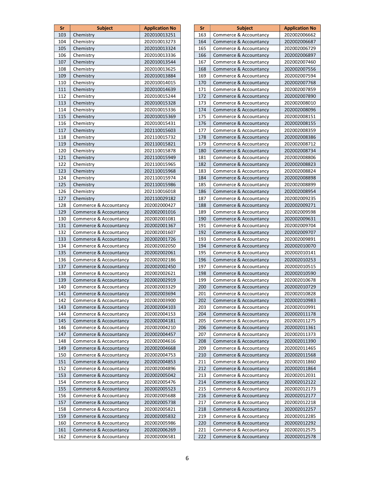| Sr  | <b>Subject</b>         | <b>Application No</b> |  |
|-----|------------------------|-----------------------|--|
| 103 | Chemistry              | 202010013251          |  |
| 104 | Chemistry              | 202010013273          |  |
| 105 | Chemistry              | 202010013324          |  |
| 106 | Chemistry              | 202010013336          |  |
| 107 | Chemistry              | 202010013544          |  |
| 108 | Chemistry              | 202010013625          |  |
| 109 | Chemistry              | 202010013884          |  |
| 110 | Chemistry              | 202010014015          |  |
| 111 | Chemistry              | 202010014639          |  |
| 112 | Chemistry              | 202010015244          |  |
| 113 | Chemistry              | 202010015328          |  |
| 114 | Chemistry              | 202010015336          |  |
| 115 | Chemistry              | 202010015369          |  |
| 116 | Chemistry              | 202010015431          |  |
| 117 | Chemistry              | 202110015603          |  |
| 118 | Chemistry              | 202110015732          |  |
| 119 | Chemistry              | 202110015821          |  |
| 120 | Chemistry              | 202110015878          |  |
|     |                        |                       |  |
| 121 | Chemistry              | 202110015949          |  |
| 122 | Chemistry              | 202110015965          |  |
| 123 | Chemistry              | 202110015968          |  |
| 124 | Chemistry              | 202110015974          |  |
| 125 | Chemistry              | 202110015986          |  |
| 126 | Chemistry              | 202110016018          |  |
| 127 | Chemistry              | 202110029182          |  |
| 128 | Commerce & Accountancy | 202002000427          |  |
| 129 | Commerce & Accountancy | 202002001016          |  |
| 130 | Commerce & Accountancy | 202002001081          |  |
| 131 | Commerce & Accountancy | 202002001367          |  |
| 132 | Commerce & Accountancy | 202002001607          |  |
| 133 | Commerce & Accountancy | 202002001726          |  |
| 134 | Commerce & Accountancy | 202002002050          |  |
| 135 | Commerce & Accountancy | 202002002061          |  |
| 136 | Commerce & Accountancy | 202002002186          |  |
| 137 | Commerce & Accountancy | 202002002450          |  |
| 138 | Commerce & Accountancy | 202002002621          |  |
| 139 | Commerce & Accountancy | 202002002919          |  |
| 140 | Commerce & Accountancy | 202002003329          |  |
| 141 | Commerce & Accountancy | 202002003694          |  |
| 142 | Commerce & Accountancy | 202002003900          |  |
| 143 | Commerce & Accountancy | 202002004103          |  |
| 144 | Commerce & Accountancy | 202002004153          |  |
| 145 | Commerce & Accountancy | 202002004181          |  |
| 146 | Commerce & Accountancy | 202002004210          |  |
| 147 | Commerce & Accountancy | 202002004457          |  |
| 148 | Commerce & Accountancy | 202002004616          |  |
| 149 | Commerce & Accountancy | 202002004668          |  |
| 150 | Commerce & Accountancy | 202002004753          |  |
| 151 | Commerce & Accountancy | 202002004853          |  |
| 152 | Commerce & Accountancy | 202002004896          |  |
| 153 | Commerce & Accountancy | 202002005042          |  |
| 154 | Commerce & Accountancy | 202002005476          |  |
| 155 | Commerce & Accountancy | 202002005523          |  |
| 156 | Commerce & Accountancy | 202002005688          |  |
| 157 | Commerce & Accountancy | 202002005738          |  |
| 158 | Commerce & Accountancy | 202002005821          |  |
| 159 | Commerce & Accountancy | 202002005832          |  |
| 160 | Commerce & Accountancy | 202002005986          |  |
| 161 | Commerce & Accountancy | 202002006269          |  |
| 162 | Commerce & Accountancy | 202002006581          |  |
|     |                        |                       |  |

| Sr  | <b>Subject</b>         | <b>Application No</b> |
|-----|------------------------|-----------------------|
| 163 | Commerce & Accountancy | 202002006662          |
| 164 | Commerce & Accountancy | 202002006687          |
| 165 | Commerce & Accountancy | 202002006729          |
| 166 | Commerce & Accountancy | 202002006897          |
| 167 | Commerce & Accountancy | 202002007460          |
| 168 | Commerce & Accountancy | 202002007556          |
| 169 | Commerce & Accountancy | 202002007594          |
|     |                        |                       |
| 170 | Commerce & Accountancy | 202002007768          |
| 171 | Commerce & Accountancy | 202002007859          |
| 172 | Commerce & Accountancy | 202002007890          |
| 173 | Commerce & Accountancy | 202002008010          |
| 174 | Commerce & Accountancy | 202002008096          |
| 175 | Commerce & Accountancy | 202002008151          |
| 176 | Commerce & Accountancy | 202002008155          |
| 177 | Commerce & Accountancy | 202002008359          |
| 178 | Commerce & Accountancy | 202002008386          |
| 179 | Commerce & Accountancy | 202002008712          |
| 180 | Commerce & Accountancy | 202002008734          |
| 181 | Commerce & Accountancy | 202002008806          |
| 182 | Commerce & Accountancy | 202002008823          |
| 183 | Commerce & Accountancy | 202002008824          |
| 184 | Commerce & Accountancy | 202002008898          |
| 185 | Commerce & Accountancy | 202002008899          |
| 186 | Commerce & Accountancy | 202002008954          |
| 187 | Commerce & Accountancy | 202002009235          |
| 188 | Commerce & Accountancy | 202002009271          |
| 189 | Commerce & Accountancy | 202002009598          |
| 190 | Commerce & Accountancy | 202002009631          |
| 191 | Commerce & Accountancy | 202002009704          |
| 192 | Commerce & Accountancy | 202002009707          |
| 193 | Commerce & Accountancy | 202002009891          |
| 194 | Commerce & Accountancy | 202002010070          |
| 195 | Commerce & Accountancy | 202002010141          |
| 196 | Commerce & Accountancy | 202002010253          |
| 197 | Commerce & Accountancy | 202002010515          |
| 198 | Commerce & Accountancy | 202002010590          |
| 199 | Commerce & Accountancy | 202002010678          |
| 200 |                        |                       |
|     | Commerce & Accountancy | 202002010729          |
| 201 | Commerce & Accountancy | 202002010828          |
| 202 | Commerce & Accountancy | 202002010983          |
| 203 | Commerce & Accountancy | 202002010991          |
| 204 | Commerce & Accountancy | 202002011178          |
| 205 | Commerce & Accountancy | 202002011275          |
| 206 | Commerce & Accountancy | 202002011361          |
| 207 | Commerce & Accountancy | 202002011373          |
| 208 | Commerce & Accountancy | 202002011390          |
| 209 | Commerce & Accountancy | 202002011465          |
| 210 | Commerce & Accountancy | 202002011568          |
| 211 | Commerce & Accountancy | 202002011860          |
| 212 | Commerce & Accountancy | 202002011864          |
| 213 | Commerce & Accountancy | 202002012031          |
| 214 | Commerce & Accountancy | 202002012122          |
| 215 | Commerce & Accountancy | 202002012173          |
| 216 | Commerce & Accountancy | 202002012177          |
| 217 | Commerce & Accountancy | 202002012218          |
| 218 | Commerce & Accountancy | 202002012257          |
| 219 | Commerce & Accountancy | 202002012285          |
| 220 | Commerce & Accountancy | 202002012292          |
| 221 | Commerce & Accountancy | 202002012575          |
| 222 | Commerce & Accountancy | 202002012578          |
|     |                        |                       |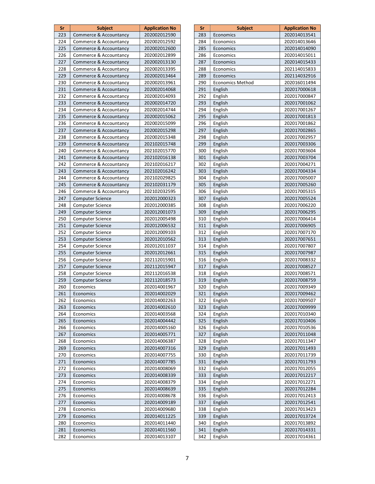| Sr         | <b>Subject</b>                                   | <b>Application No</b>        |
|------------|--------------------------------------------------|------------------------------|
| 223        | Commerce & Accountancy                           | 202002012590                 |
| 224        | Commerce & Accountancy                           | 202002012592                 |
| 225        | Commerce & Accountancy                           | 202002012600                 |
| 226        | Commerce & Accountancy                           | 202002012899                 |
| 227        | Commerce & Accountancy                           | 202002013130                 |
| 228        | Commerce & Accountancy                           | 202002013395                 |
| 229        | Commerce & Accountancy                           | 202002013464                 |
| 230        | Commerce & Accountancy                           | 202002013961                 |
| 231        | Commerce & Accountancy                           | 202002014068                 |
| 232        | Commerce & Accountancy                           | 202002014093                 |
| 233        | Commerce & Accountancy                           | 202002014720                 |
| 234        | Commerce & Accountancy                           | 202002014744                 |
| 235        | Commerce & Accountancy                           | 202002015062                 |
| 236        | Commerce & Accountancy                           | 202002015099                 |
| 237        | Commerce & Accountancy                           | 202002015298                 |
| 238        | Commerce & Accountancy                           | 202002015348                 |
| 239        |                                                  | 202102015748                 |
| 240        | Commerce & Accountancy<br>Commerce & Accountancy | 202102015770                 |
|            |                                                  |                              |
| 241<br>242 | Commerce & Accountancy                           | 202102016138<br>202102016217 |
|            | Commerce & Accountancy                           |                              |
| 243        | Commerce & Accountancy                           | 202102016242                 |
| 244        | Commerce & Accountancy                           | 202102029825                 |
| 245        | Commerce & Accountancy                           | 202102031179                 |
| 246        | Commerce & Accountancy                           | 202102032595                 |
| 247        | <b>Computer Science</b>                          | 202012000323                 |
| 248        | Computer Science                                 | 202012000385                 |
| 249        | <b>Computer Science</b>                          | 202012001073                 |
| 250        | Computer Science                                 | 202012005498                 |
| 251        | <b>Computer Science</b>                          | 202012006532                 |
| 252        | Computer Science                                 | 202012009103                 |
| 253        | <b>Computer Science</b>                          | 202012010562                 |
| 254        | <b>Computer Science</b>                          | 202012011037                 |
| 255        | <b>Computer Science</b>                          | 202012012661                 |
| 256        | Computer Science                                 | 202112015901                 |
| 257        | <b>Computer Science</b>                          | 202112015947                 |
| 258        | <b>Computer Science</b>                          | 202112016538                 |
| 259        | <b>Computer Science</b>                          | 202112018573                 |
| 260        | Economics                                        | 202014001967                 |
| 261        | Economics                                        | 202014002029                 |
| 262        | Economics                                        | 202014002263                 |
| 263        | Economics                                        | 202014002610                 |
| 264        | Economics                                        | 202014003568                 |
| 265        | Economics                                        | 202014004442                 |
| 266        | Economics                                        | 202014005160                 |
| 267        | Economics                                        | 202014005771                 |
| 268        | Economics                                        | 202014006387                 |
| 269        | Economics                                        | 202014007316                 |
| 270        | Economics                                        | 202014007755                 |
| 271        | Economics                                        | 202014007785                 |
| 272        | Economics                                        | 202014008069                 |
| 273        | Economics                                        | 202014008339                 |
| 274        | Economics                                        | 202014008379                 |
| 275        | Economics                                        | 202014008639                 |
| 276        | Economics                                        | 202014008678                 |
| 277        | Economics                                        | 202014009189                 |
| 278        | Economics                                        | 202014009680                 |
| 279        | Economics                                        | 202014011225                 |
| 280        | Economics                                        | 202014011440                 |
| 281        | Economics                                        | 202014011560                 |
| 282        | Economics                                        | 202014013107                 |

| Sr  | <b>Subject</b>          | <b>Application No</b> |
|-----|-------------------------|-----------------------|
| 283 | Economics               | 202014013541          |
| 284 | Economics               | 202014013646          |
| 285 | Economics               | 202014014090          |
| 286 | Economics               | 202014015011          |
| 287 | Economics               | 202014015433          |
| 288 | Economics               | 202114015833          |
| 289 | Economics               | 202114032916          |
| 290 | <b>Economics Method</b> | 202016011494          |
| 291 | English                 | 202017000618          |
| 292 | English                 | 202017000847          |
| 293 | English                 | 202017001062          |
| 294 | English                 | 202017001267          |
| 295 | English                 | 202017001813          |
| 296 | English                 | 202017001862          |
| 297 | English                 | 202017002865          |
| 298 | English                 | 202017002957          |
| 299 | English                 | 202017003306          |
| 300 | English                 | 202017003604          |
| 301 | English                 | 202017003704          |
| 302 | English                 | 202017004271          |
| 303 | English                 | 202017004334          |
| 304 | English                 | 202017005007          |
| 305 | English                 | 202017005260          |
| 306 | English                 | 202017005315          |
| 307 |                         |                       |
|     | English                 | 202017005524          |
| 308 | English                 | 202017006220          |
| 309 | English                 | 202017006295          |
| 310 | English                 | 202017006414          |
| 311 | English                 | 202017006905          |
| 312 | English                 | 202017007170          |
| 313 | English                 | 202017007651          |
| 314 | English                 | 202017007807          |
| 315 | English                 | 202017007987          |
| 316 | English                 | 202017008332          |
| 317 | English                 | 202017008527          |
| 318 | English                 | 202017008571          |
| 319 | English                 | 202017008759          |
| 320 | English                 | 202017009349          |
| 321 | English                 | 202017009462          |
| 322 | English                 | 202017009507          |
| 323 | English                 | 202017009999          |
| 324 | English                 | 202017010340          |
| 325 | English                 | 202017010406          |
| 326 | English                 | 202017010536          |
| 327 | English                 | 202017011048          |
| 328 | English                 | 202017011347          |
| 329 | English                 | 202017011493          |
| 330 | English                 | 202017011739          |
| 331 | English                 | 202017011793          |
| 332 | English                 | 202017012055          |
| 333 | English                 | 202017012217          |
| 334 | English                 | 202017012271          |
| 335 | English                 | 202017012284          |
| 336 | English                 | 202017012413          |
| 337 | English                 | 202017012541          |
| 338 | English                 | 202017013423          |
| 339 | English                 | 202017013724          |
| 340 | English                 | 202017013892          |
| 341 | English                 | 202017014331          |
| 342 | English                 | 202017014361          |
|     |                         |                       |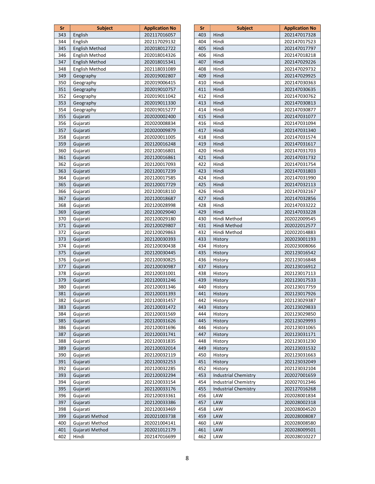| Sr         | <b>Subject</b>        | <b>Application No</b>        |
|------------|-----------------------|------------------------------|
| 343        | English               | 202117016057                 |
| 344        | English               | 202117029132                 |
| 345        | <b>English Method</b> | 202018012722                 |
| 346        | <b>English Method</b> | 202018014326                 |
| 347        | <b>English Method</b> | 202018015341                 |
| 348        | English Method        | 202118031089                 |
| 349        | Geography             | 202019002807                 |
| 350        | Geography             | 202019006415                 |
| 351        | Geography             | 202019010757                 |
| 352        | Geography             | 202019011042                 |
| 353        | Geography             | 202019011330                 |
| 354        | Geography             | 202019015277                 |
| 355        | Gujarati              | 202020002400                 |
| 356        | Gujarati              | 202020008834                 |
| 357        | Gujarati              | 202020009879                 |
| 358        | Gujarati              | 202020011005                 |
| 359        | Gujarati              | 202120016248                 |
| 360        | Gujarati              | 202120016801                 |
| 361        | Gujarati              | 202120016861                 |
| 362        | Gujarati              | 202120017093                 |
| 363        | Gujarati              | 202120017239                 |
| 364        | Gujarati              | 202120017585                 |
| 365        | Gujarati              | 202120017729                 |
| 366        | Gujarati              | 202120018110                 |
| 367        | Gujarati              | 202120018687                 |
| 368        | Gujarati              | 202120028998                 |
| 369        | Gujarati              | 202120029040                 |
| 370        | Gujarati              | 202120029180                 |
| 371        | Gujarati              | 202120029807                 |
| 372        | Gujarati              | 202120029863                 |
| 373        | Gujarati              | 202120030393                 |
| 374        | Gujarati              | 202120030438                 |
| 375        | Gujarati              | 202120030445                 |
| 376        | Gujarati              | 202120030825                 |
| 377        | Gujarati              | 202120030987                 |
| 378        | Gujarati              | 202120031001                 |
| 379        | Gujarati              | 202120031246                 |
| 380        | Gujarati              | 202120031346                 |
| 381        | Gujarati              | 202120031393                 |
| 382        | Gujarati              | 202120031457                 |
| 383        | Gujarati              | 202120031472                 |
| 384        | Gujarati              | 202120031569                 |
| 385        | Gujarati              | 202120031626                 |
| 386        | Gujarati              | 202120031696                 |
| 387        | Gujarati              | 202120031741                 |
| 388        | Gujarati              | 202120031835                 |
| 389        | Gujarati              | 202120032014                 |
| 390        | Gujarati              | 202120032119                 |
| 391        | Gujarati              |                              |
| 392        |                       | 202120032253<br>202120032285 |
| 393        | Gujarati              | 202120032294                 |
| 394        | Gujarati<br>Gujarati  | 202120033154                 |
|            |                       |                              |
| 395        | Gujarati              | 202120033176                 |
| 396<br>397 | Gujarati              | 202120033361                 |
|            | Gujarati              | 202120033386                 |
| 398        | Gujarati              | 202120033469                 |
| 399        | Gujarati Method       | 202021003738                 |
| 400        | Gujarati Method       | 202021004141                 |
| 401        | Gujarati Method       | 202021012179                 |
| 402        | Hindi                 | 202147016699                 |

| Sr  | <b>Subject</b>                     | <b>Application No</b>        |
|-----|------------------------------------|------------------------------|
| 403 | Hindi                              | 202147017328                 |
| 404 | Hindi                              | 202147017523                 |
| 405 | Hindi                              | 202147017797                 |
| 406 | Hindi                              | 202147018218                 |
| 407 | Hindi                              | 202147029226                 |
| 408 | Hindi                              | 202147029732                 |
| 409 | Hindi                              | 202147029925                 |
| 410 | Hindi                              | 202147030363                 |
| 411 | Hindi                              | 202147030635                 |
| 412 | Hindi                              | 202147030762                 |
| 413 | Hindi                              | 202147030813                 |
| 414 | Hindi                              | 202147030877                 |
| 415 | Hindi                              | 202147031077                 |
| 416 | Hindi                              | 202147031094                 |
| 417 | Hindi                              | 202147031340                 |
| 418 | Hindi                              | 202147031574                 |
| 419 | Hindi                              | 202147031617                 |
| 420 | Hindi                              | 202147031703                 |
| 421 | Hindi                              | 202147031732                 |
| 422 | Hindi                              | 202147031754                 |
| 423 | Hindi                              | 202147031803                 |
| 424 | Hindi                              | 202147031990                 |
| 425 | Hindi                              | 202147032113                 |
| 426 | Hindi                              | 202147032167                 |
| 427 | Hindi                              | 202147032856                 |
| 428 | Hindi                              | 202147033222                 |
| 429 | Hindi                              | 202147033228                 |
| 430 | Hindi Method                       | 202022009545                 |
| 431 | Hindi Method                       | 202022012577                 |
| 432 | Hindi Method                       | 202022014883                 |
| 433 | History                            | 202023001193                 |
| 434 | History                            | 202023008066                 |
| 435 | History                            | 202123016542                 |
| 436 | History                            | 202123016848                 |
| 437 | History                            | 202123016912                 |
| 438 | History                            | 202123017113                 |
| 439 | History                            | 202123017533                 |
| 440 | History                            | 202123017759                 |
| 441 | History                            | 202123017926                 |
| 442 | History                            | 202123029387                 |
| 443 | History                            | 202123029833                 |
| 444 | History                            | 202123029850                 |
| 445 | History                            | 202123029993                 |
| 446 | History                            | 202123031065                 |
| 447 | History                            | 202123031171                 |
| 448 | History                            | 202123031230                 |
| 449 | History                            | 202123031532                 |
| 450 | History                            | 202123031663                 |
| 451 | History                            | 202123032049                 |
| 452 | History                            | 202123032104                 |
| 453 | <b>Industrial Chemistry</b>        | 202027001659                 |
| 454 | <b>Industrial Chemistry</b>        | 202027012346                 |
| 455 |                                    |                              |
| 456 | <b>Industrial Chemistry</b><br>LAW | 202127016268<br>202028001834 |
|     |                                    |                              |
| 457 | LAW                                | 202028002318                 |
| 458 | LAW                                | 202028004520                 |
| 459 | LAW                                | 202028008087                 |
| 460 | LAW                                | 202028008580                 |
| 461 | LAW                                | 202028009501                 |
| 462 | LAW                                | 202028010227                 |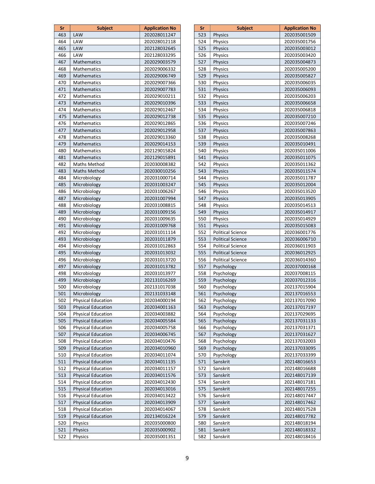| Sr  | <b>Subject</b>            | <b>Application No</b> |
|-----|---------------------------|-----------------------|
| 463 | LAW                       | 202028011247          |
| 464 | LAW                       | 202028012118          |
| 465 | <b>LAW</b>                | 202128032645          |
| 466 | LAW                       | 202128033295          |
| 467 | Mathematics               | 202029003579          |
| 468 | Mathematics               | 202029006332          |
| 469 | <b>Mathematics</b>        | 202029006749          |
| 470 | Mathematics               | 202029007366          |
| 471 | Mathematics               | 202029007783          |
| 472 | Mathematics               | 202029010211          |
| 473 | <b>Mathematics</b>        | 202029010396          |
| 474 | Mathematics               | 202029012467          |
| 475 | Mathematics               | 202029012738          |
| 476 | Mathematics               | 202029012865          |
| 477 | <b>Mathematics</b>        | 202029012958          |
| 478 | Mathematics               | 202029013360          |
| 479 | <b>Mathematics</b>        | 202029014153          |
| 480 | Mathematics               | 202129015824          |
| 481 | <b>Mathematics</b>        | 202129015891          |
| 482 | Maths Method              | 202030008382          |
| 483 | <b>Maths Method</b>       | 202030010256          |
| 484 | Microbiology              | 202031000714          |
| 485 | Microbiology              | 202031003247          |
| 486 | Microbiology              | 202031006267          |
| 487 | Microbiology              | 202031007994          |
| 488 | Microbiology              | 202031008815          |
| 489 | Microbiology              | 202031009156          |
| 490 | Microbiology              | 202031009635          |
| 491 | Microbiology              | 202031009768          |
| 492 | Microbiology              | 202031011114          |
| 493 | Microbiology              | 202031011879          |
| 494 | Microbiology              | 202031012863          |
| 495 | Microbiology              | 202031013032          |
| 496 | Microbiology              | 202031013720          |
| 497 | Microbiology              | 202031013782          |
| 498 | Microbiology              | 202031013977          |
| 499 | Microbiology              | 202131016269          |
| 500 | Microbiology              | 202131017038          |
| 501 | Microbiology              | 202131033148          |
| 502 | <b>Physical Education</b> | 202034000194          |
| 503 | <b>Physical Education</b> | 202034001163          |
| 504 | <b>Physical Education</b> | 202034003882          |
| 505 | <b>Physical Education</b> | 202034005584          |
| 506 | Physical Education        | 202034005758          |
| 507 | <b>Physical Education</b> | 202034006745          |
| 508 | <b>Physical Education</b> | 202034010476          |
| 509 | <b>Physical Education</b> | 202034010960          |
| 510 | <b>Physical Education</b> | 202034011074          |
| 511 | <b>Physical Education</b> | 202034011135          |
| 512 | <b>Physical Education</b> | 202034011157          |
| 513 | <b>Physical Education</b> | 202034011576          |
| 514 | <b>Physical Education</b> | 202034012430          |
| 515 | <b>Physical Education</b> | 202034013016          |
| 516 | <b>Physical Education</b> | 202034013422          |
| 517 | <b>Physical Education</b> | 202034013909          |
| 518 | <b>Physical Education</b> | 202034014067          |
| 519 | <b>Physical Education</b> | 202134016224          |
| 520 | Physics                   | 202035000800          |
| 521 | Physics                   | 202035000902          |
| 522 | Physics                   | 202035001351          |

| Sr  | <b>Subject</b>           | <b>Application No</b> |
|-----|--------------------------|-----------------------|
| 523 | Physics                  | 202035001509          |
| 524 | Physics                  | 202035001756          |
| 525 | <b>Physics</b>           | 202035003012          |
| 526 | Physics                  | 202035003420          |
| 527 | <b>Physics</b>           | 202035004873          |
| 528 | Physics                  | 202035005200          |
| 529 | <b>Physics</b>           | 202035005827          |
| 530 | Physics                  | 202035006035          |
| 531 | <b>Physics</b>           | 202035006093          |
| 532 | Physics                  | 202035006203          |
| 533 | <b>Physics</b>           | 202035006658          |
| 534 | Physics                  | 202035006818          |
| 535 | <b>Physics</b>           | 202035007210          |
| 536 | Physics                  | 202035007246          |
| 537 | <b>Physics</b>           | 202035007863          |
| 538 | Physics                  | 202035008268          |
| 539 | <b>Physics</b>           | 202035010491          |
| 540 | Physics                  | 202035011006          |
| 541 | <b>Physics</b>           | 202035011075          |
| 542 | Physics                  | 202035011362          |
| 543 | Physics                  | 202035011574          |
| 544 | Physics                  | 202035011787          |
| 545 | <b>Physics</b>           | 202035012004          |
| 546 | Physics                  | 202035013520          |
| 547 | <b>Physics</b>           | 202035013905          |
| 548 | Physics                  | 202035014513          |
| 549 | Physics                  | 202035014917          |
| 550 | Physics                  | 202035014929          |
| 551 | <b>Physics</b>           | 202035015083          |
| 552 | <b>Political Science</b> | 202036001776          |
| 553 | <b>Political Science</b> | 202036006710          |
| 554 | <b>Political Science</b> | 202036011903          |
| 555 | <b>Political Science</b> | 202036012925          |
| 556 | Political Science        | 202036014360          |
| 557 | Psychology               | 202037000168          |
| 558 | Psychology               | 202037008115          |
| 559 | Psychology               | 202037012316          |
| 560 | Psychology               | 202137015904          |
| 561 | Psychology               | 202137016553          |
| 562 | Psychology               | 202137017090          |
| 563 | Psychology               | 202137017197          |
| 564 | Psychology               | 202137029695          |
| 565 | Psychology               | 202137031133          |
| 566 | Psychology               | 202137031371          |
| 567 | Psychology               | 202137031627          |
| 568 | Psychology               | 202137032003          |
| 569 | Psychology               | 202137033095          |
| 570 | Psychology               | 202137033399          |
| 571 | Sanskrit                 | 202148016653          |
| 572 | Sanskrit                 | 202148016688          |
| 573 | Sanskrit                 | 202148017139          |
| 574 | Sanskrit                 | 202148017181          |
| 575 | Sanskrit                 | 202148017255          |
| 576 | Sanskrit                 | 202148017447          |
| 577 | Sanskrit                 | 202148017462          |
| 578 | Sanskrit                 | 202148017528          |
| 579 | Sanskrit                 | 202148017782          |
| 580 | Sanskrit                 | 202148018194          |
| 581 | Sanskrit                 | 202148018332          |
| 582 | Sanskrit                 | 202148018416          |
|     |                          |                       |